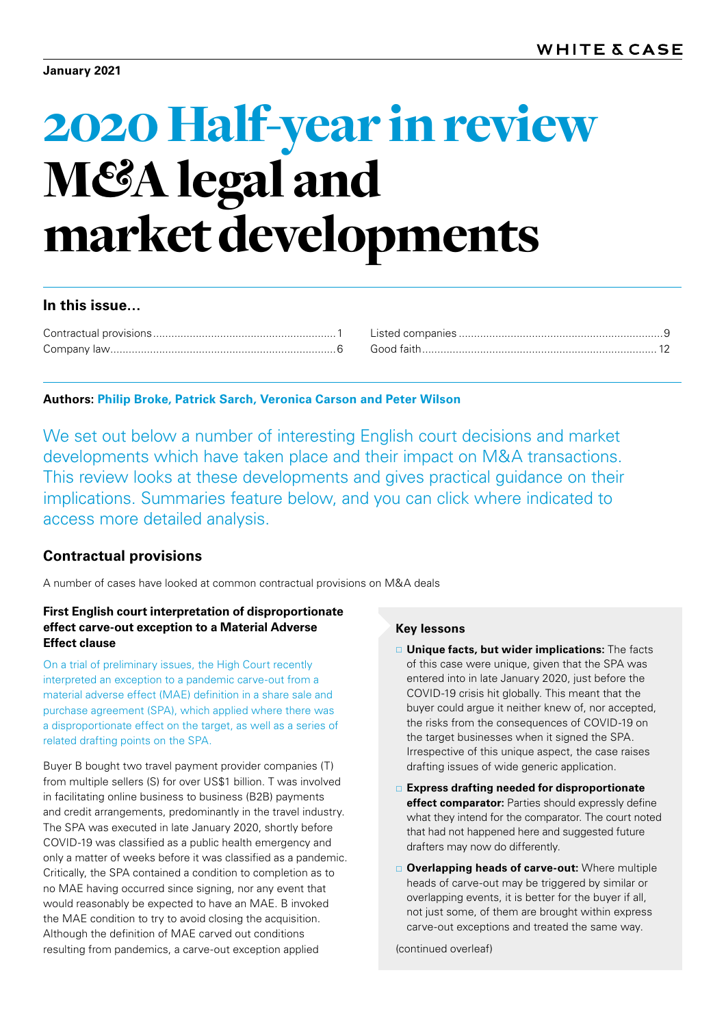# 2020 Half-year in review M*&*A legal and market developments

## **In this issue…**

| Good faith |
|------------|

## **Authors: Philip Broke, Patrick Sarch, Veronica Carson and Peter Wilson**

We set out below a number of interesting English court decisions and market developments which have taken place and their impact on M&A transactions. This review looks at these developments and gives practical guidance on their implications. Summaries feature below, and you can click where indicated to access more detailed analysis.

## <span id="page-0-0"></span>**Contractual provisions**

A number of cases have looked at common contractual provisions on M&A deals

## **First English court interpretation of disproportionate effect carve‑out exception to a Material Adverse Effect clause**

On a trial of preliminary issues, the High Court recently interpreted an exception to a pandemic carve-out from a material adverse effect (MAE) definition in a share sale and purchase agreement (SPA), which applied where there was a disproportionate effect on the target, as well as a series of related drafting points on the SPA.

Buyer B bought two travel payment provider companies (T) from multiple sellers (S) for over US\$1 billion. T was involved in facilitating online business to business (B2B) payments and credit arrangements, predominantly in the travel industry. The SPA was executed in late January 2020, shortly before COVID-19 was classified as a public health emergency and only a matter of weeks before it was classified as a pandemic. Critically, the SPA contained a condition to completion as to no MAE having occurred since signing, nor any event that would reasonably be expected to have an MAE. B invoked the MAE condition to try to avoid closing the acquisition. Although the definition of MAE carved out conditions resulting from pandemics, a carve-out exception applied

## **Key lessons**

- **Unique facts, but wider implications:** The facts of this case were unique, given that the SPA was entered into in late January 2020, just before the COVID-19 crisis hit globally. This meant that the buyer could argue it neither knew of, nor accepted, the risks from the consequences of COVID-19 on the target businesses when it signed the SPA. Irrespective of this unique aspect, the case raises drafting issues of wide generic application.
- **Express drafting needed for disproportionate effect comparator:** Parties should expressly define what they intend for the comparator. The court noted that had not happened here and suggested future drafters may now do differently.
- **Overlapping heads of carve-out:** Where multiple heads of carve-out may be triggered by similar or overlapping events, it is better for the buyer if all, not just some, of them are brought within express carve-out exceptions and treated the same way.

(continued overleaf)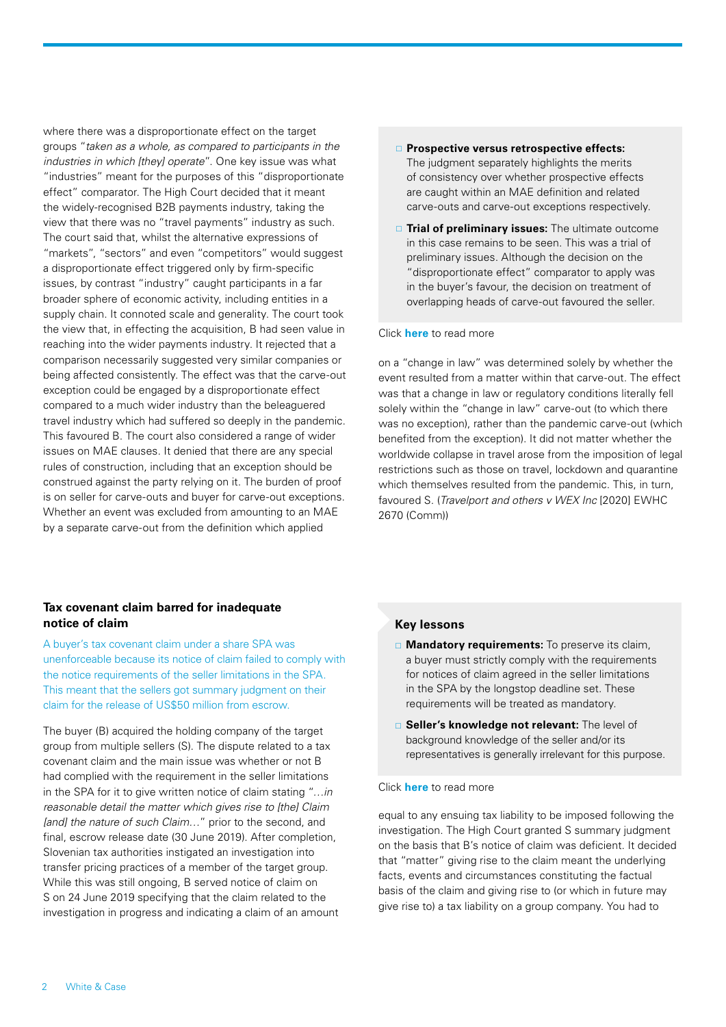where there was a disproportionate effect on the target groups "*taken as a whole, as compared to participants in the industries in which [they] operate*". One key issue was what "industries" meant for the purposes of this "disproportionate effect" comparator. The High Court decided that it meant the widely-recognised B2B payments industry, taking the view that there was no "travel payments" industry as such. The court said that, whilst the alternative expressions of "markets", "sectors" and even "competitors" would suggest a disproportionate effect triggered only by firm -specific issues, by contrast "industry" caught participants in a far broader sphere of economic activity, including entities in a supply chain. It connoted scale and generality. The court took the view that, in effecting the acquisition, B had seen value in reaching into the wider payments industry. It rejected that a comparison necessarily suggested very similar companies or being affected consistently. The effect was that the carve-out exception could be engaged by a disproportionate effect compared to a much wider industry than the beleaguered travel industry which had suffered so deeply in the pandemic. This favoured B. The court also considered a range of wider issues on MAE clauses. It denied that there are any special rules of construction, including that an exception should be construed against the party relying on it. The burden of proof is on seller for carve-outs and buyer for carve-out exceptions. Whether an event was excluded from amounting to an MAE by a separate carve-out from the definition which applied

## **Prospective versus retrospective effects:** The judgment separately highlights the merits of consistency over whether prospective effects are caught within an MAE definition and related carve-outs and carve-out exceptions respectively.

**Trial of preliminary issues:** The ultimate outcome in this case remains to be seen. This was a trial of preliminary issues. Although the decision on the "disproportionate effect" comparator to apply was in the buyer's favour, the decision on treatment of overlapping heads of carve-out favoured the seller.

#### Click **[here](https://events.whitecase.com/2020-ma-half-year-review/a.pdf)** to read more

on a "change in law" was determined solely by whether the event resulted from a matter within that carve-out. The effect was that a change in law or regulatory conditions literally fell solely within the "change in law" carve-out (to which there was no exception), rather than the pandemic carve-out (which benefited from the exception). It did not matter whether the worldwide collapse in travel arose from the imposition of legal restrictions such as those on travel, lockdown and quarantine which themselves resulted from the pandemic. This, in turn, favoured S. (*Travelport and others v WEX Inc* [2020] EWHC 2670 (Comm))

## **Tax covenant claim barred for inadequate notice of claim**

A buyer's tax covenant claim under a share SPA was unenforceable because its notice of claim failed to comply with the notice requirements of the seller limitations in the SPA. This meant that the sellers got summary judgment on their claim for the release of US\$50 million from escrow.

The buyer (B) acquired the holding company of the target group from multiple sellers (S). The dispute related to a tax covenant claim and the main issue was whether or not B had complied with the requirement in the seller limitations in the SPA for it to give written notice of claim stating "*…in reasonable detail the matter which gives rise to [the] Claim [and] the nature of such Claim…*" prior to the second, and final, escrow release date (30 June 2019). After completion, Slovenian tax authorities instigated an investigation into transfer pricing practices of a member of the target group. While this was still ongoing, B served notice of claim on S on 24 June 2019 specifying that the claim related to the investigation in progress and indicating a claim of an amount

## **Key lessons**

- **Mandatory requirements:** To preserve its claim, a buyer must strictly comply with the requirements for notices of claim agreed in the seller limitations in the SPA by the longstop deadline set. These requirements will be treated as mandatory.
- **Seller's knowledge not relevant:** The level of background knowledge of the seller and/or its representatives is generally irrelevant for this purpose.

#### Click **[here](https://events.whitecase.com/2020-ma-half-year-review/b.pdf)** to read more

equal to any ensuing tax liability to be imposed following the investigation. The High Court granted S summary judgment on the basis that B's notice of claim was deficient. It decided that "matter" giving rise to the claim meant the underlying facts, events and circumstances constituting the factual basis of the claim and giving rise to (or which in future may give rise to) a tax liability on a group company. You had to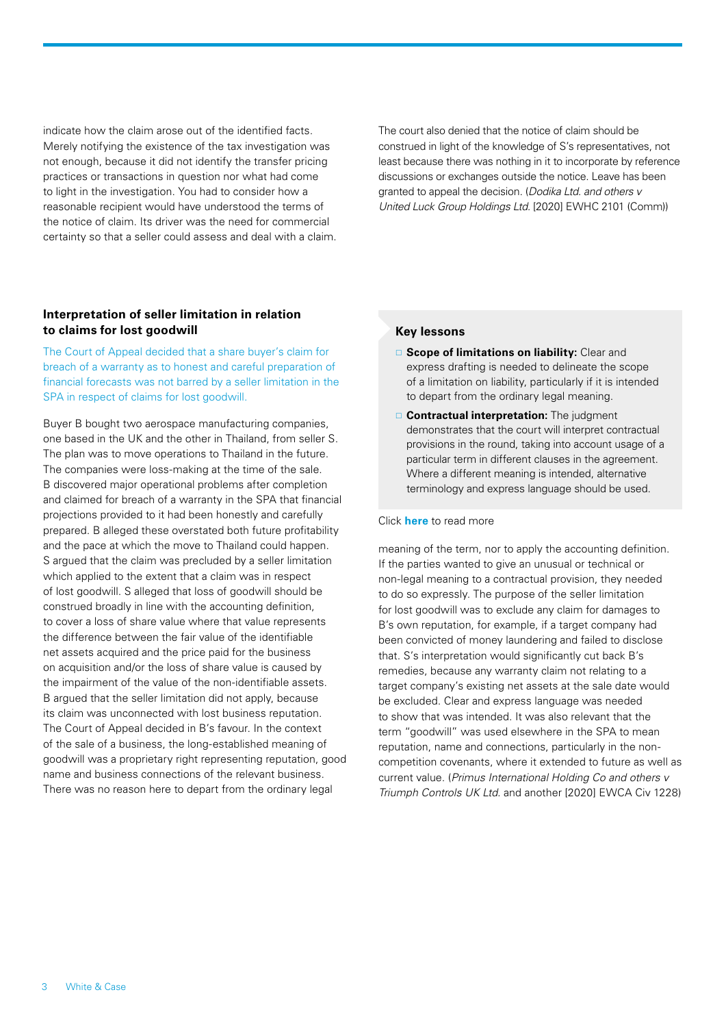indicate how the claim arose out of the identified facts. Merely notifying the existence of the tax investigation was not enough, because it did not identify the transfer pricing practices or transactions in question nor what had come to light in the investigation. You had to consider how a reasonable recipient would have understood the terms of the notice of claim. Its driver was the need for commercial certainty so that a seller could assess and deal with a claim. The court also denied that the notice of claim should be construed in light of the knowledge of S's representatives, not least because there was nothing in it to incorporate by reference discussions or exchanges outside the notice. Leave has been granted to appeal the decision. (*Dodika Ltd. and others v United Luck Group Holdings Ltd.* [2020] EWHC 2101 (Comm))

## **Interpretation of seller limitation in relation to claims for lost goodwill**

The Court of Appeal decided that a share buyer's claim for breach of a warranty as to honest and careful preparation of financial forecasts was not barred by a seller limitation in the SPA in respect of claims for lost goodwill.

Buyer B bought two aerospace manufacturing companies, one based in the UK and the other in Thailand, from seller S. The plan was to move operations to Thailand in the future. The companies were loss-making at the time of the sale. B discovered major operational problems after completion and claimed for breach of a warranty in the SPA that financial projections provided to it had been honestly and carefully prepared. B alleged these overstated both future profitability and the pace at which the move to Thailand could happen. S argued that the claim was precluded by a seller limitation which applied to the extent that a claim was in respect of lost goodwill. S alleged that loss of goodwill should be construed broadly in line with the accounting definition, to cover a loss of share value where that value represents the difference between the fair value of the identifiable net assets acquired and the price paid for the business on acquisition and/or the loss of share value is caused by the impairment of the value of the non-identifiable assets. B argued that the seller limitation did not apply, because its claim was unconnected with lost business reputation. The Court of Appeal decided in B's favour. In the context of the sale of a business, the long-established meaning of goodwill was a proprietary right representing reputation, good name and business connections of the relevant business. There was no reason here to depart from the ordinary legal

## **Key lessons**

- **Scope of limitations on liability:** Clear and express drafting is needed to delineate the scope of a limitation on liability, particularly if it is intended to depart from the ordinary legal meaning.
- **Contractual interpretation:** The judgment demonstrates that the court will interpret contractual provisions in the round, taking into account usage of a particular term in different clauses in the agreement. Where a different meaning is intended, alternative terminology and express language should be used.

#### Click **[here](https://events.whitecase.com/2020-ma-half-year-review/c.pdf)** to read more

meaning of the term, nor to apply the accounting definition. If the parties wanted to give an unusual or technical or non-legal meaning to a contractual provision, they needed to do so expressly. The purpose of the seller limitation for lost goodwill was to exclude any claim for damages to B's own reputation, for example, if a target company had been convicted of money laundering and failed to disclose that. S's interpretation would significantly cut back B's remedies, because any warranty claim not relating to a target company's existing net assets at the sale date would be excluded. Clear and express language was needed to show that was intended. It was also relevant that the term "goodwill" was used elsewhere in the SPA to mean reputation, name and connections, particularly in the noncompetition covenants, where it extended to future as well as current value. (*Primus International Holding Co and others v Triumph Controls UK Ltd.* and another [2020] EWCA Civ 1228)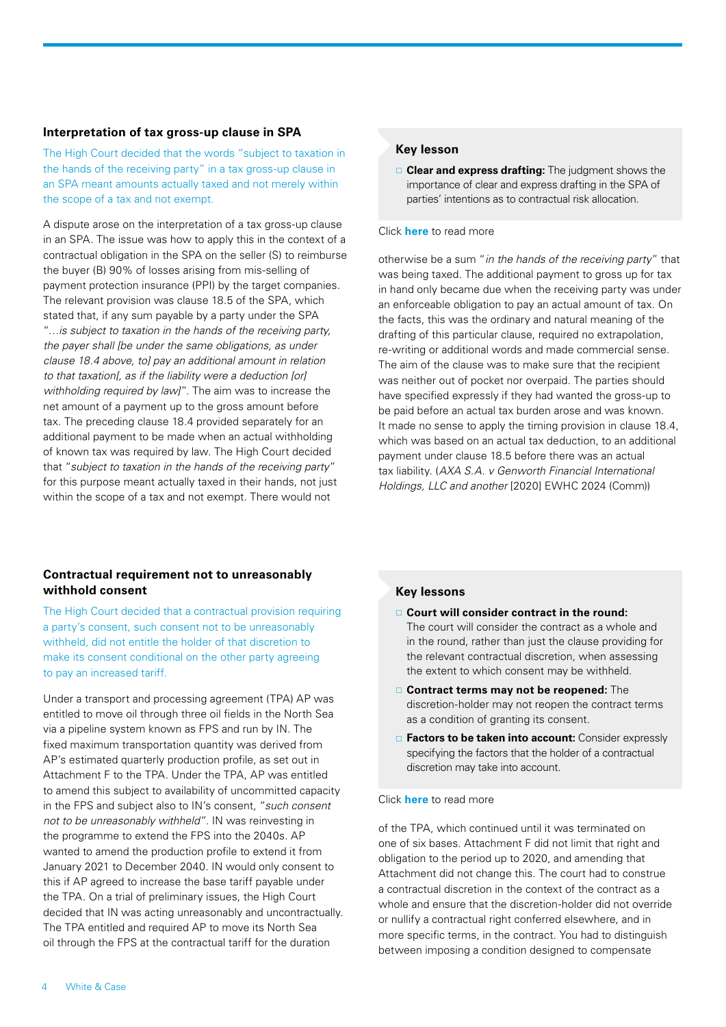#### **Interpretation of tax gross-up clause in SPA**

The High Court decided that the words "subject to taxation in the hands of the receiving party" in a tax gross-up clause in an SPA meant amounts actually taxed and not merely within the scope of a tax and not exempt.

A dispute arose on the interpretation of a tax gross-up clause in an SPA. The issue was how to apply this in the context of a contractual obligation in the SPA on the seller (S) to reimburse the buyer (B) 90% of losses arising from mis-selling of payment protection insurance (PPI) by the target companies. The relevant provision was clause 18.5 of the SPA, which stated that, if any sum payable by a party under the SPA "*…is subject to taxation in the hands of the receiving party, the payer shall [be under the same obligations, as under clause 18.4 above, to] pay an additional amount in relation to that taxation[, as if the liability were a deduction [or] withholding required by law]*". The aim was to increase the net amount of a payment up to the gross amount before tax. The preceding clause 18.4 provided separately for an additional payment to be made when an actual withholding of known tax was required by law. The High Court decided that "*subject to taxation in the hands of the receiving party*" for this purpose meant actually taxed in their hands, not just within the scope of a tax and not exempt. There would not

## **Contractual requirement not to unreasonably withhold consent**

The High Court decided that a contractual provision requiring a party's consent, such consent not to be unreasonably withheld, did not entitle the holder of that discretion to make its consent conditional on the other party agreeing to pay an increased tariff.

Under a transport and processing agreement (TPA) AP was entitled to move oil through three oil fields in the North Sea via a pipeline system known as FPS and run by IN. The fixed maximum transportation quantity was derived from AP's estimated quarterly production profile, as set out in Attachment F to the TPA. Under the TPA, AP was entitled to amend this subject to availability of uncommitted capacity in the FPS and subject also to IN's consent, "*such consent not to be unreasonably withheld*". IN was reinvesting in the programme to extend the FPS into the 2040s. AP wanted to amend the production profile to extend it from January 2021 to December 2040. IN would only consent to this if AP agreed to increase the base tariff payable under the TPA. On a trial of preliminary issues, the High Court decided that IN was acting unreasonably and uncontractually. The TPA entitled and required AP to move its North Sea oil through the FPS at the contractual tariff for the duration

#### **Key lesson**

 **Clear and express drafting:** The judgment shows the importance of clear and express drafting in the SPA of parties' intentions as to contractual risk allocation.

#### Click **[here](https://events.whitecase.com/2020-ma-half-year-review/d.pdf)** to read more

otherwise be a sum "*in the hands of the receiving party*" that was being taxed. The additional payment to gross up for tax in hand only became due when the receiving party was under an enforceable obligation to pay an actual amount of tax. On the facts, this was the ordinary and natural meaning of the drafting of this particular clause, required no extrapolation, re-writing or additional words and made commercial sense. The aim of the clause was to make sure that the recipient was neither out of pocket nor overpaid. The parties should have specified expressly if they had wanted the gross-up to be paid before an actual tax burden arose and was known. It made no sense to apply the timing provision in clause 18.4, which was based on an actual tax deduction, to an additional payment under clause 18.5 before there was an actual tax liability. (*AXA S.A. v Genworth Financial International Holdings, LLC and another* [2020] EWHC 2024 (Comm))

#### **Key lessons**

- **Court will consider contract in the round:** The court will consider the contract as a whole and in the round, rather than just the clause providing for the relevant contractual discretion, when assessing the extent to which consent may be withheld.
- **Contract terms may not be reopened:** The discretion-holder may not reopen the contract terms as a condition of granting its consent.
- **Factors to be taken into account:** Consider expressly specifying the factors that the holder of a contractual discretion may take into account.

#### Click **[here](https://events.whitecase.com/2020-ma-half-year-review/e.pdf)** to read more

of the TPA, which continued until it was terminated on one of six bases. Attachment F did not limit that right and obligation to the period up to 2020, and amending that Attachment did not change this. The court had to construe a contractual discretion in the context of the contract as a whole and ensure that the discretion-holder did not override or nullify a contractual right conferred elsewhere, and in more specific terms, in the contract. You had to distinguish between imposing a condition designed to compensate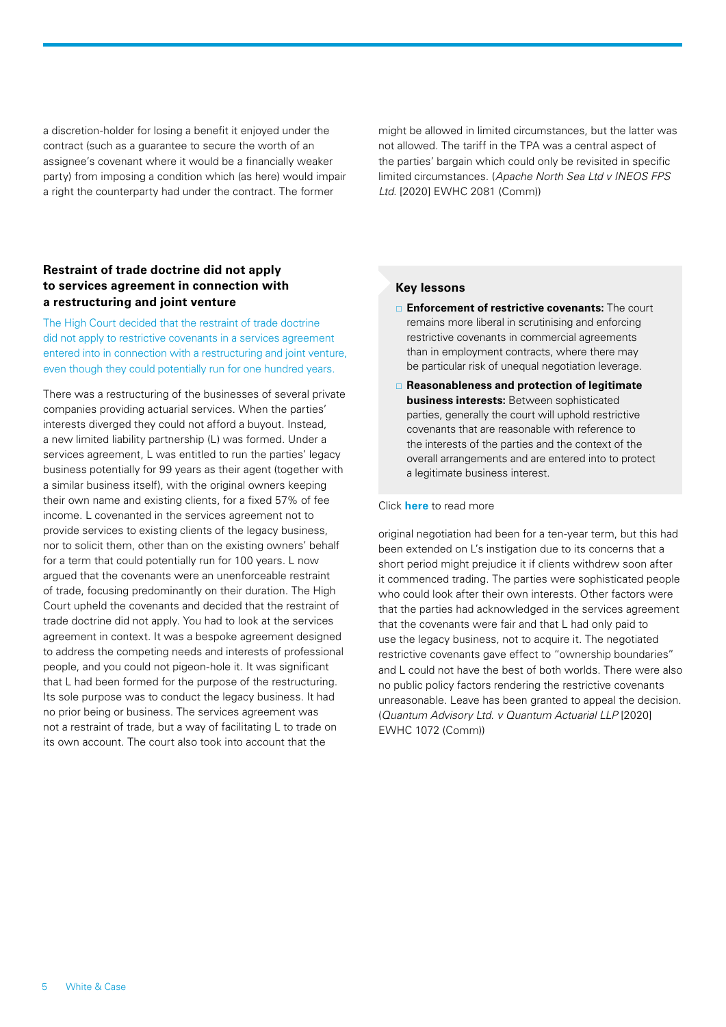a discretion-holder for losing a benefit it enjoyed under the contract (such as a guarantee to secure the worth of an assignee's covenant where it would be a financially weaker party) from imposing a condition which (as here) would impair a right the counterparty had under the contract. The former

might be allowed in limited circumstances, but the latter was not allowed. The tariff in the TPA was a central aspect of the parties' bargain which could only be revisited in specific limited circumstances. (*Apache North Sea Ltd v INEOS FPS Ltd.* [2020] EWHC 2081 (Comm))

## **Restraint of trade doctrine did not apply to services agreement in connection with a restructuring and joint venture**

The High Court decided that the restraint of trade doctrine did not apply to restrictive covenants in a services agreement entered into in connection with a restructuring and joint venture, even though they could potentially run for one hundred years.

There was a restructuring of the businesses of several private companies providing actuarial services. When the parties' interests diverged they could not afford a buyout. Instead, a new limited liability partnership (L) was formed. Under a services agreement, L was entitled to run the parties' legacy business potentially for 99 years as their agent (together with a similar business itself), with the original owners keeping their own name and existing clients, for a fixed 57% of fee income. L covenanted in the services agreement not to provide services to existing clients of the legacy business, nor to solicit them, other than on the existing owners' behalf for a term that could potentially run for 100 years. L now argued that the covenants were an unenforceable restraint of trade, focusing predominantly on their duration. The High Court upheld the covenants and decided that the restraint of trade doctrine did not apply. You had to look at the services agreement in context. It was a bespoke agreement designed to address the competing needs and interests of professional people, and you could not pigeon-hole it. It was significant that L had been formed for the purpose of the restructuring. Its sole purpose was to conduct the legacy business. It had no prior being or business. The services agreement was not a restraint of trade, but a way of facilitating L to trade on its own account. The court also took into account that the

## **Key lessons**

- **Enforcement of restrictive covenants:** The court remains more liberal in scrutinising and enforcing restrictive covenants in commercial agreements than in employment contracts, where there may be particular risk of unequal negotiation leverage.
- **Reasonableness and protection of legitimate business interests:** Between sophisticated parties, generally the court will uphold restrictive covenants that are reasonable with reference to the interests of the parties and the context of the overall arrangements and are entered into to protect a legitimate business interest.

#### Click **[here](https://events.whitecase.com/2020-ma-half-year-review/f.pdf)** to read more

original negotiation had been for a ten-year term, but this had been extended on L's instigation due to its concerns that a short period might prejudice it if clients withdrew soon after it commenced trading. The parties were sophisticated people who could look after their own interests. Other factors were that the parties had acknowledged in the services agreement that the covenants were fair and that L had only paid to use the legacy business, not to acquire it. The negotiated restrictive covenants gave effect to "ownership boundaries" and L could not have the best of both worlds. There were also no public policy factors rendering the restrictive covenants unreasonable. Leave has been granted to appeal the decision. (*Quantum Advisory Ltd. v Quantum Actuarial LLP* [2020] EWHC 1072 (Comm))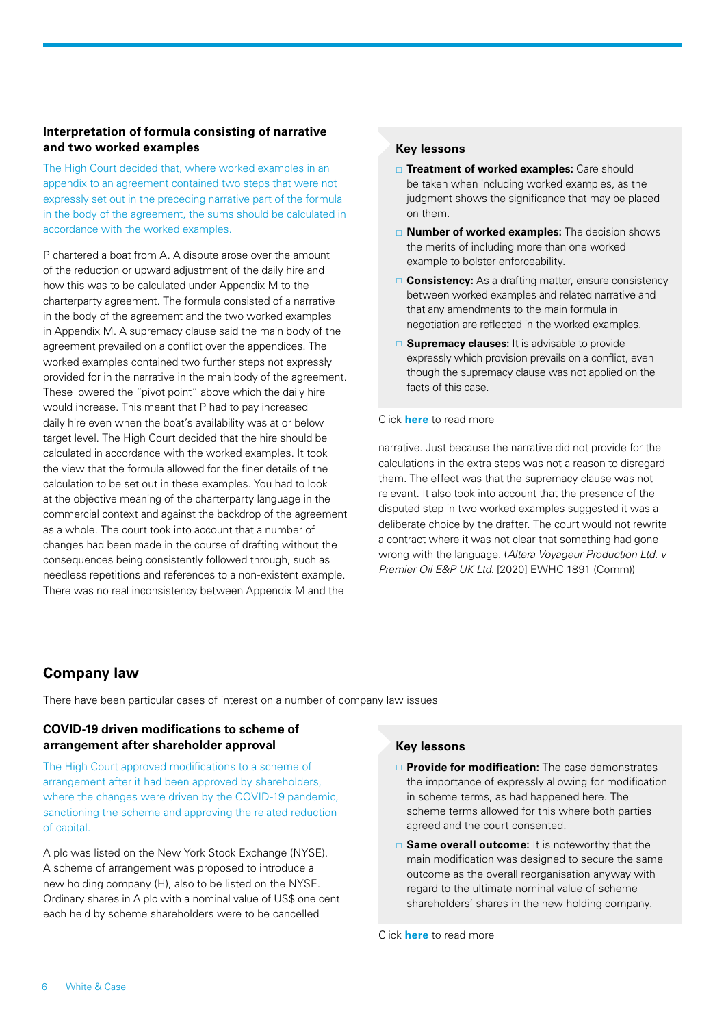## **Interpretation of formula consisting of narrative and two worked examples**

The High Court decided that, where worked examples in an appendix to an agreement contained two steps that were not expressly set out in the preceding narrative part of the formula in the body of the agreement, the sums should be calculated in accordance with the worked examples.

P chartered a boat from A. A dispute arose over the amount of the reduction or upward adjustment of the daily hire and how this was to be calculated under Appendix M to the charterparty agreement. The formula consisted of a narrative in the body of the agreement and the two worked examples in Appendix M. A supremacy clause said the main body of the agreement prevailed on a conflict over the appendices. The worked examples contained two further steps not expressly provided for in the narrative in the main body of the agreement. These lowered the "pivot point" above which the daily hire would increase. This meant that P had to pay increased daily hire even when the boat's availability was at or below target level. The High Court decided that the hire should be calculated in accordance with the worked examples. It took the view that the formula allowed for the finer details of the calculation to be set out in these examples. You had to look at the objective meaning of the charterparty language in the commercial context and against the backdrop of the agreement as a whole. The court took into account that a number of changes had been made in the course of drafting without the consequences being consistently followed through, such as needless repetitions and references to a non-existent example. There was no real inconsistency between Appendix M and the

## **Key lessons**

- **Treatment of worked examples:** Care should be taken when including worked examples, as the judgment shows the significance that may be placed on them.
- **Number of worked examples:** The decision shows the merits of including more than one worked example to bolster enforceability.
- **□ Consistency:** As a drafting matter, ensure consistency between worked examples and related narrative and that any amendments to the main formula in negotiation are reflected in the worked examples.
- **Supremacy clauses:** It is advisable to provide expressly which provision prevails on a conflict, even though the supremacy clause was not applied on the facts of this case.

#### Click **[here](https://events.whitecase.com/2020-ma-half-year-review/g.pdf)** to read more

narrative. Just because the narrative did not provide for the calculations in the extra steps was not a reason to disregard them. The effect was that the supremacy clause was not relevant. It also took into account that the presence of the disputed step in two worked examples suggested it was a deliberate choice by the drafter. The court would not rewrite a contract where it was not clear that something had gone wrong with the language. (*Altera Voyageur Production Ltd. v Premier Oil E&P UK Ltd.* [2020] EWHC 1891 (Comm))

## <span id="page-5-0"></span>**Company law**

There have been particular cases of interest on a number of company law issues

## **COVID-19 driven modifications to scheme of arrangement after shareholder approval**

The High Court approved modifications to a scheme of arrangement after it had been approved by shareholders, where the changes were driven by the COVID-19 pandemic, sanctioning the scheme and approving the related reduction of capital.

A plc was listed on the New York Stock Exchange (NYSE). A scheme of arrangement was proposed to introduce a new holding company (H), also to be listed on the NYSE. Ordinary shares in A plc with a nominal value of US\$ one cent each held by scheme shareholders were to be cancelled

## **Key lessons**

- **Provide for modification:** The case demonstrates the importance of expressly allowing for modification in scheme terms, as had happened here. The scheme terms allowed for this where both parties agreed and the court consented.
- □ **Same overall outcome:** It is noteworthy that the main modification was designed to secure the same outcome as the overall reorganisation anyway with regard to the ultimate nominal value of scheme shareholders' shares in the new holding company.

Click **[here](https://events.whitecase.com/2020-ma-half-year-review/h.pdf)** to read more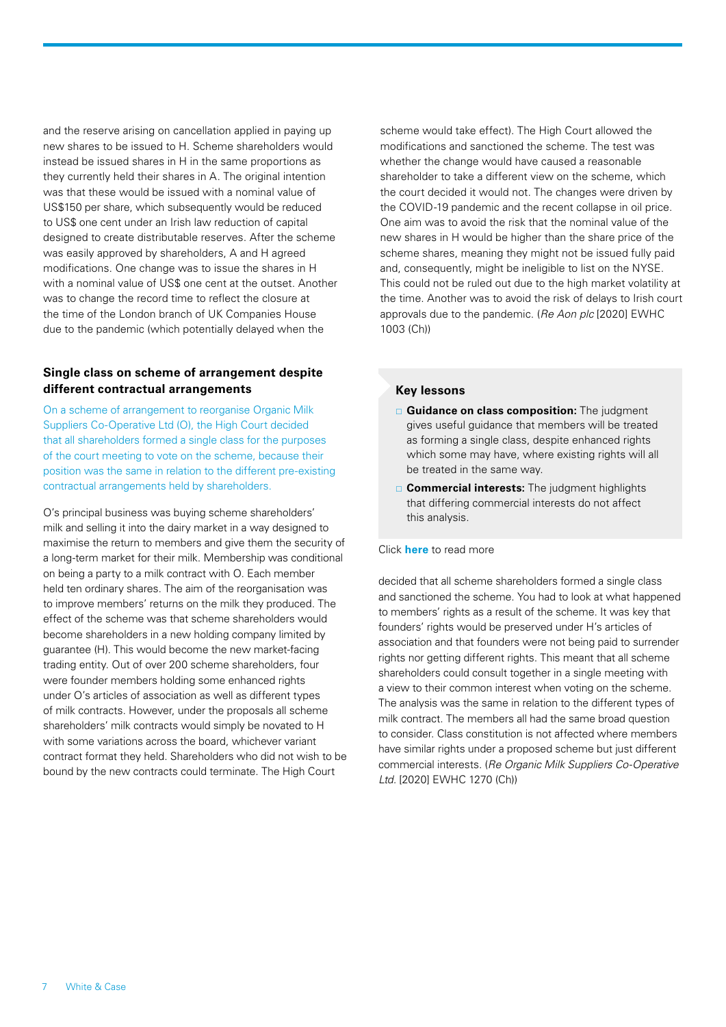and the reserve arising on cancellation applied in paying up new shares to be issued to H. Scheme shareholders would instead be issued shares in H in the same proportions as they currently held their shares in A. The original intention was that these would be issued with a nominal value of US\$150 per share, which subsequently would be reduced to US\$ one cent under an Irish law reduction of capital designed to create distributable reserves. After the scheme was easily approved by shareholders, A and H agreed modifications. One change was to issue the shares in H with a nominal value of US\$ one cent at the outset. Another was to change the record time to reflect the closure at the time of the London branch of UK Companies House due to the pandemic (which potentially delayed when the

## **Single class on scheme of arrangement despite different contractual arrangements**

On a scheme of arrangement to reorganise Organic Milk Suppliers Co-Operative Ltd (O), the High Court decided that all shareholders formed a single class for the purposes of the court meeting to vote on the scheme, because their position was the same in relation to the different pre-existing contractual arrangements held by shareholders.

O's principal business was buying scheme shareholders' milk and selling it into the dairy market in a way designed to maximise the return to members and give them the security of a long-term market for their milk. Membership was conditional on being a party to a milk contract with O. Each member held ten ordinary shares. The aim of the reorganisation was to improve members' returns on the milk they produced. The effect of the scheme was that scheme shareholders would become shareholders in a new holding company limited by guarantee (H). This would become the new market-facing trading entity. Out of over 200 scheme shareholders, four were founder members holding some enhanced rights under O's articles of association as well as different types of milk contracts. However, under the proposals all scheme shareholders' milk contracts would simply be novated to H with some variations across the board, whichever variant contract format they held. Shareholders who did not wish to be bound by the new contracts could terminate. The High Court

scheme would take effect). The High Court allowed the modifications and sanctioned the scheme. The test was whether the change would have caused a reasonable shareholder to take a different view on the scheme, which the court decided it would not. The changes were driven by the COVID-19 pandemic and the recent collapse in oil price. One aim was to avoid the risk that the nominal value of the new shares in H would be higher than the share price of the scheme shares, meaning they might not be issued fully paid and, consequently, might be ineligible to list on the NYSE. This could not be ruled out due to the high market volatility at the time. Another was to avoid the risk of delays to Irish court approvals due to the pandemic. (*Re Aon plc* [2020] EWHC 1003 (Ch))

## **Key lessons**

- **Guidance on class composition:** The judgment gives useful guidance that members will be treated as forming a single class, despite enhanced rights which some may have, where existing rights will all be treated in the same way.
- **Commercial interests:** The judgment highlights that differing commercial interests do not affect this analysis.

#### Click **[here](https://events.whitecase.com/2020-ma-half-year-review/i.pdf)** to read more

decided that all scheme shareholders formed a single class and sanctioned the scheme. You had to look at what happened to members' rights as a result of the scheme. It was key that founders' rights would be preserved under H's articles of association and that founders were not being paid to surrender rights nor getting different rights. This meant that all scheme shareholders could consult together in a single meeting with a view to their common interest when voting on the scheme. The analysis was the same in relation to the different types of milk contract. The members all had the same broad question to consider. Class constitution is not affected where members have similar rights under a proposed scheme but just different commercial interests. (*Re Organic Milk Suppliers Co‑Operative Ltd.* [2020] EWHC 1270 (Ch))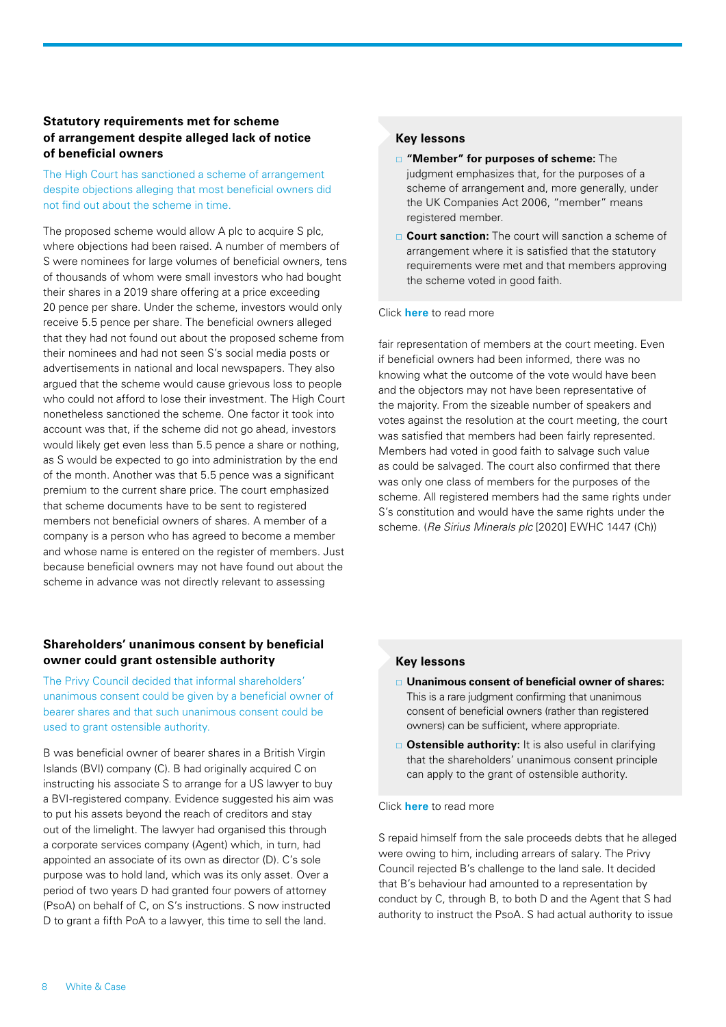## **Statutory requirements met for scheme of arrangement despite alleged lack of notice of beneficial owners**

The High Court has sanctioned a scheme of arrangement despite objections alleging that most beneficial owners did not find out about the scheme in time.

The proposed scheme would allow A plc to acquire S plc, where objections had been raised. A number of members of S were nominees for large volumes of beneficial owners, tens of thousands of whom were small investors who had bought their shares in a 2019 share offering at a price exceeding 20 pence per share. Under the scheme, investors would only receive 5.5 pence per share. The beneficial owners alleged that they had not found out about the proposed scheme from their nominees and had not seen S's social media posts or advertisements in national and local newspapers. They also argued that the scheme would cause grievous loss to people who could not afford to lose their investment. The High Court nonetheless sanctioned the scheme. One factor it took into account was that, if the scheme did not go ahead, investors would likely get even less than 5.5 pence a share or nothing, as S would be expected to go into administration by the end of the month. Another was that 5.5 pence was a significant premium to the current share price. The court emphasized that scheme documents have to be sent to registered members not beneficial owners of shares. A member of a company is a person who has agreed to become a member and whose name is entered on the register of members. Just because beneficial owners may not have found out about the scheme in advance was not directly relevant to assessing

## **Shareholders' unanimous consent by beneficial owner could grant ostensible authority**

The Privy Council decided that informal shareholders' unanimous consent could be given by a beneficial owner of bearer shares and that such unanimous consent could be used to grant ostensible authority.

B was beneficial owner of bearer shares in a British Virgin Islands (BVI) company (C). B had originally acquired C on instructing his associate S to arrange for a US lawyer to buy a BVI-registered company. Evidence suggested his aim was to put his assets beyond the reach of creditors and stay out of the limelight. The lawyer had organised this through a corporate services company (Agent) which, in turn, had appointed an associate of its own as director (D). C's sole purpose was to hold land, which was its only asset. Over a period of two years D had granted four powers of attorney (PsoA) on behalf of C, on S's instructions. S now instructed D to grant a fifth PoA to a lawyer, this time to sell the land.

## **Key lessons**

- **"Member" for purposes of scheme:** The judgment emphasizes that, for the purposes of a scheme of arrangement and, more generally, under the UK Companies Act 2006, "member" means registered member.
- **Court sanction:** The court will sanction a scheme of arrangement where it is satisfied that the statutory requirements were met and that members approving the scheme voted in good faith.

#### Click **[here](https://events.whitecase.com/2020-ma-half-year-review/j.pdf)** to read more

fair representation of members at the court meeting. Even if beneficial owners had been informed, there was no knowing what the outcome of the vote would have been and the objectors may not have been representative of the majority. From the sizeable number of speakers and votes against the resolution at the court meeting, the court was satisfied that members had been fairly represented. Members had voted in good faith to salvage such value as could be salvaged. The court also confirmed that there was only one class of members for the purposes of the scheme. All registered members had the same rights under S's constitution and would have the same rights under the scheme. (*Re Sirius Minerals plc* [2020] EWHC 1447 (Ch))

#### **Key lessons**

- **Unanimous consent of beneficial owner of shares:** This is a rare judgment confirming that unanimous consent of beneficial owners (rather than registered owners) can be sufficient, where appropriate.
- **Ostensible authority:** It is also useful in clarifying that the shareholders' unanimous consent principle can apply to the grant of ostensible authority.

#### Click **[here](https://events.whitecase.com/2020-ma-half-year-review/k.pdf)** to read more

S repaid himself from the sale proceeds debts that he alleged were owing to him, including arrears of salary. The Privy Council rejected B's challenge to the land sale. It decided that B's behaviour had amounted to a representation by conduct by C, through B, to both D and the Agent that S had authority to instruct the PsoA. S had actual authority to issue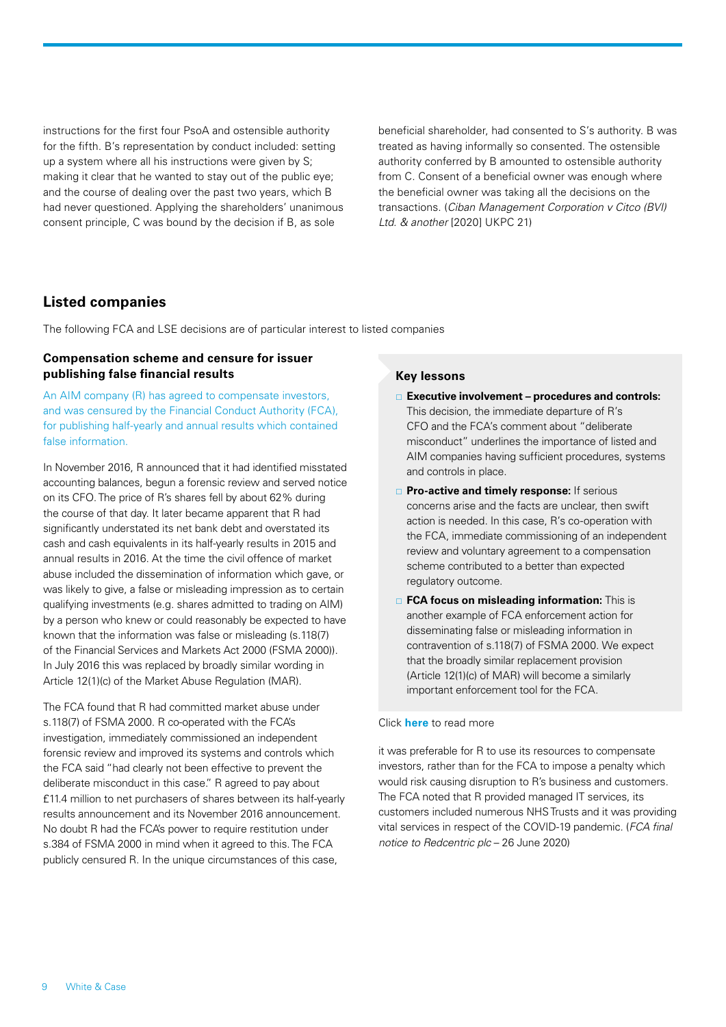instructions for the first four PsoA and ostensible authority for the fifth. B's representation by conduct included: setting up a system where all his instructions were given by S; making it clear that he wanted to stay out of the public eye; and the course of dealing over the past two years, which B had never questioned. Applying the shareholders' unanimous consent principle, C was bound by the decision if B, as sole

beneficial shareholder, had consented to S's authority. B was treated as having informally so consented. The ostensible authority conferred by B amounted to ostensible authority from C. Consent of a beneficial owner was enough where the beneficial owner was taking all the decisions on the transactions. (*Ciban Management Corporation v Citco (BVI) Ltd. & another* [2020] UKPC 21)

## <span id="page-8-0"></span>**Listed companies**

The following FCA and LSE decisions are of particular interest to listed companies

#### **Compensation scheme and censure for issuer publishing false financial results**

An AIM company (R) has agreed to compensate investors, and was censured by the Financial Conduct Authority (FCA), for publishing half-yearly and annual results which contained false information.

In November 2016, R announced that it had identified misstated accounting balances, begun a forensic review and served notice on its CFO. The price of R's shares fell by about 62% during the course of that day. It later became apparent that R had significantly understated its net bank debt and overstated its cash and cash equivalents in its half-yearly results in 2015 and annual results in 2016. At the time the civil offence of market abuse included the dissemination of information which gave, or was likely to give, a false or misleading impression as to certain qualifying investments (e.g. shares admitted to trading on AIM) by a person who knew or could reasonably be expected to have known that the information was false or misleading (s.118(7) of the Financial Services and Markets Act 2000 (FSMA 2000)). In July 2016 this was replaced by broadly similar wording in Article 12(1)(c) of the Market Abuse Regulation (MAR).

The FCA found that R had committed market abuse under s.118(7) of FSMA 2000. R co-operated with the FCA's investigation, immediately commissioned an independent forensic review and improved its systems and controls which the FCA said "had clearly not been effective to prevent the deliberate misconduct in this case." R agreed to pay about £11.4 million to net purchasers of shares between its half-yearly results announcement and its November 2016 announcement. No doubt R had the FCA's power to require restitution under s.384 of FSMA 2000 in mind when it agreed to this. The FCA publicly censured R. In the unique circumstances of this case,

#### **Key lessons**

- **Executive involvement procedures and controls:** This decision, the immediate departure of R's CFO and the FCA's comment about "deliberate misconduct" underlines the importance of listed and AIM companies having sufficient procedures, systems and controls in place.
- **Pro-active and timely response:** If serious concerns arise and the facts are unclear, then swift action is needed. In this case, R's co-operation with the FCA, immediate commissioning of an independent review and voluntary agreement to a compensation scheme contributed to a better than expected regulatory outcome.
- **FCA focus on misleading information:** This is another example of FCA enforcement action for disseminating false or misleading information in contravention of s.118(7) of FSMA 2000. We expect that the broadly similar replacement provision (Article 12(1)(c) of MAR) will become a similarly important enforcement tool for the FCA.

#### Click **[here](https://events.whitecase.com/2020-ma-half-year-review/l.pdf)** to read more

it was preferable for R to use its resources to compensate investors, rather than for the FCA to impose a penalty which would risk causing disruption to R's business and customers. The FCA noted that R provided managed IT services, its customers included numerous NHS Trusts and it was providing vital services in respect of the COVID-19 pandemic*.* (*FCA final notice to Redcentric plc* – 26 June 2020)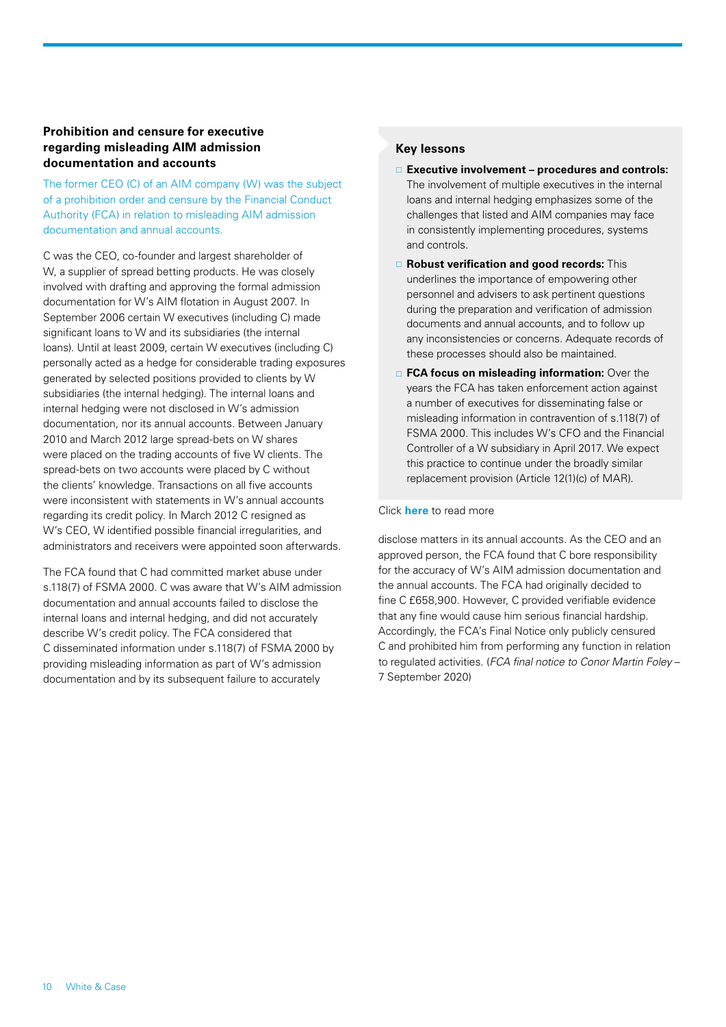## **Prohibition and censure for executive regarding misleading AIM admission documentation and accounts**

The former CEO (C) of an AIM company (W) was the subject of a prohibition order and censure by the Financial Conduct Authority (FCA) in relation to misleading AIM admission documentation and annual accounts.

C was the CEO, co-founder and largest shareholder of W, a supplier of spread betting products. He was closely involved with drafting and approving the formal admission documentation for W's AIM flotation in August 2007. In September 2006 certain W executives (including C) made significant loans to W and its subsidiaries (the internal loans). Until at least 2009, certain W executives (including C) personally acted as a hedge for considerable trading exposures generated by selected positions provided to clients by W subsidiaries (the internal hedging). The internal loans and internal hedging were not disclosed in W's admission documentation, nor its annual accounts. Between January 2010 and March 2012 large spread-bets on W shares were placed on the trading accounts of five W clients. The spread-bets on two accounts were placed by C without the clients' knowledge. Transactions on all five accounts were inconsistent with statements in W's annual accounts regarding its credit policy. In March 2012 C resigned as W's CEO, W identified possible financial irregularities, and administrators and receivers were appointed soon afterwards.

The FCA found that C had committed market abuse under s.118(7) of FSMA 2000. C was aware that W's AIM admission documentation and annual accounts failed to disclose the internal loans and internal hedging, and did not accurately describe W's credit policy. The FCA considered that C disseminated information under s.118(7) of FSMA 2000 by providing misleading information as part of W's admission documentation and by its subsequent failure to accurately

## **Key lessons**

- **Executive involvement procedures and controls:**  The involvement of multiple executives in the internal loans and internal hedging emphasizes some of the challenges that listed and AIM companies may face in consistently implementing procedures, systems and controls.
- **Robust verification and good records:** This underlines the importance of empowering other personnel and advisers to ask pertinent questions during the preparation and verification of admission documents and annual accounts, and to follow up any inconsistencies or concerns. Adequate records of these processes should also be maintained.
- **FCA focus on misleading information:** Over the years the FCA has taken enforcement action against a number of executives for disseminating false or misleading information in contravention of s.118(7) of FSMA 2000. This includes W's CFO and the Financial Controller of a W subsidiary in April 2017. We expect this practice to continue under the broadly similar replacement provision (Article 12(1)(c) of MAR).

#### Click **[here](https://events.whitecase.com/2020-ma-half-year-review/m.pdf)** to read more

disclose matters in its annual accounts. As the CEO and an approved person, the FCA found that C bore responsibility for the accuracy of W's AIM admission documentation and the annual accounts. The FCA had originally decided to fine C £658,900. However, C provided verifiable evidence that any fine would cause him serious financial hardship. Accordingly, the FCA's Final Notice only publicly censured C and prohibited him from performing any function in relation to regulated activities. (*FCA final notice to Conor Martin Foley* – 7 September 2020)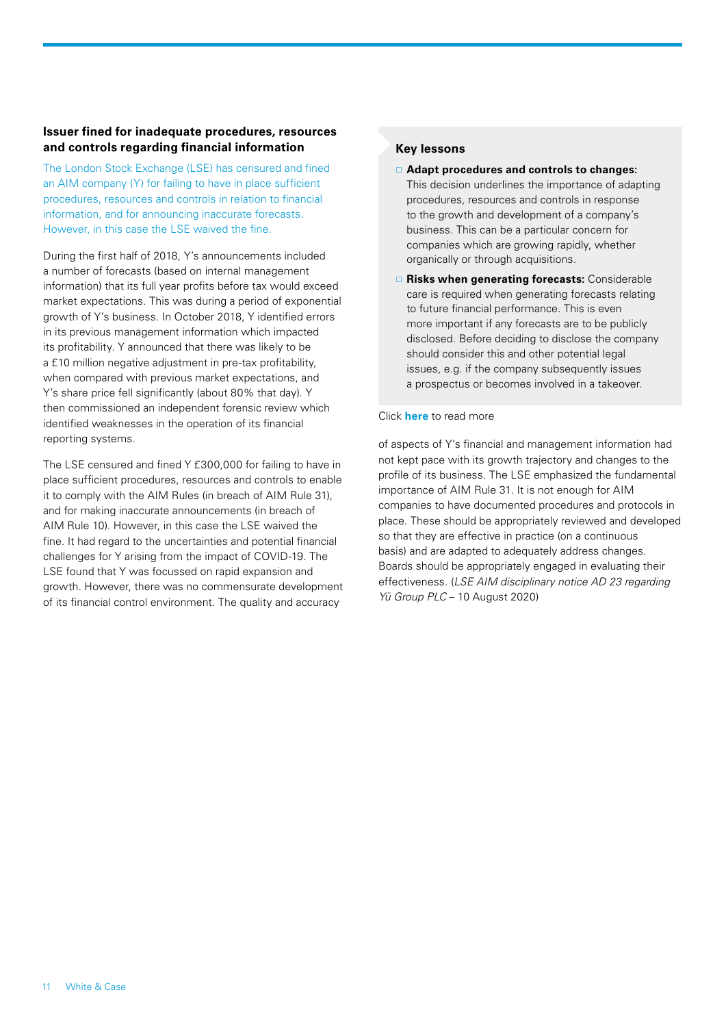## **Issuer fined for inadequate procedures, resources and controls regarding financial information**

The London Stock Exchange (LSE) has censured and fined an AIM company (Y) for failing to have in place sufficient procedures, resources and controls in relation to financial information, and for announcing inaccurate forecasts. However, in this case the LSE waived the fine.

During the first half of 2018, Y's announcements included a number of forecasts (based on internal management information) that its full year profits before tax would exceed market expectations. This was during a period of exponential growth of Y's business. In October 2018, Y identified errors in its previous management information which impacted its profitability. Y announced that there was likely to be a £10 million negative adjustment in pre-tax profitability, when compared with previous market expectations, and Y's share price fell significantly (about 80% that day). Y then commissioned an independent forensic review which identified weaknesses in the operation of its financial reporting systems.

The LSE censured and fined Y £300,000 for failing to have in place sufficient procedures, resources and controls to enable it to comply with the AIM Rules (in breach of AIM Rule 31), and for making inaccurate announcements (in breach of AIM Rule 10). However, in this case the LSE waived the fine. It had regard to the uncertainties and potential financial challenges for Y arising from the impact of COVID-19. The LSE found that Y was focussed on rapid expansion and growth. However, there was no commensurate development of its financial control environment. The quality and accuracy

## **Key lessons**

- **Adapt procedures and controls to changes:**  This decision underlines the importance of adapting procedures, resources and controls in response to the growth and development of a company's business. This can be a particular concern for companies which are growing rapidly, whether organically or through acquisitions.
- **Risks when generating forecasts:** Considerable care is required when generating forecasts relating to future financial performance. This is even more important if any forecasts are to be publicly disclosed. Before deciding to disclose the company should consider this and other potential legal issues, e.g. if the company subsequently issues a prospectus or becomes involved in a takeover.

#### Click **[here](https://events.whitecase.com/2020-ma-half-year-review/n.pdf)** to read more

of aspects of Y's financial and management information had not kept pace with its growth trajectory and changes to the profile of its business. The LSE emphasized the fundamental importance of AIM Rule 31. It is not enough for AIM companies to have documented procedures and protocols in place. These should be appropriately reviewed and developed so that they are effective in practice (on a continuous basis) and are adapted to adequately address changes. Boards should be appropriately engaged in evaluating their effectiveness. (*LSE AIM disciplinary notice AD 23 regarding Yü Group PLC* – 10 August 2020)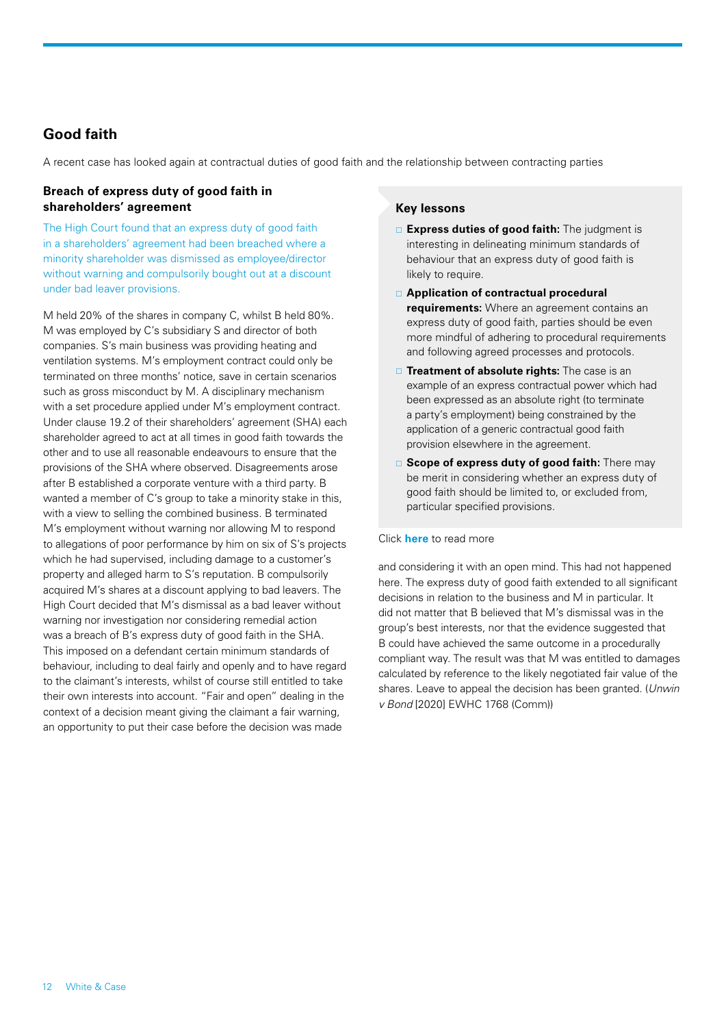## <span id="page-11-0"></span>**Good faith**

A recent case has looked again at contractual duties of good faith and the relationship between contracting parties

## **Breach of express duty of good faith in shareholders' agreement**

The High Court found that an express duty of good faith in a shareholders' agreement had been breached where a minority shareholder was dismissed as employee/director without warning and compulsorily bought out at a discount under bad leaver provisions.

M held 20% of the shares in company C, whilst B held 80%. M was employed by C's subsidiary S and director of both companies. S's main business was providing heating and ventilation systems. M's employment contract could only be terminated on three months' notice, save in certain scenarios such as gross misconduct by M. A disciplinary mechanism with a set procedure applied under M's employment contract. Under clause 19.2 of their shareholders' agreement (SHA) each shareholder agreed to act at all times in good faith towards the other and to use all reasonable endeavours to ensure that the provisions of the SHA where observed. Disagreements arose after B established a corporate venture with a third party. B wanted a member of C's group to take a minority stake in this, with a view to selling the combined business. B terminated M's employment without warning nor allowing M to respond to allegations of poor performance by him on six of S's projects which he had supervised, including damage to a customer's property and alleged harm to S's reputation. B compulsorily acquired M's shares at a discount applying to bad leavers. The High Court decided that M's dismissal as a bad leaver without warning nor investigation nor considering remedial action was a breach of B's express duty of good faith in the SHA. This imposed on a defendant certain minimum standards of behaviour, including to deal fairly and openly and to have regard to the claimant's interests, whilst of course still entitled to take their own interests into account. "Fair and open" dealing in the context of a decision meant giving the claimant a fair warning, an opportunity to put their case before the decision was made

#### **Key lessons**

- **Express duties of good faith:** The judgment is interesting in delineating minimum standards of behaviour that an express duty of good faith is likely to require.
- **Application of contractual procedural requirements:** Where an agreement contains an express duty of good faith, parties should be even more mindful of adhering to procedural requirements and following agreed processes and protocols.
- **Treatment of absolute rights:** The case is an example of an express contractual power which had been expressed as an absolute right (to terminate a party's employment) being constrained by the application of a generic contractual good faith provision elsewhere in the agreement.
- **Scope of express duty of good faith:** There may be merit in considering whether an express duty of good faith should be limited to, or excluded from, particular specified provisions.

#### Click **[here](https://events.whitecase.com/2020-ma-half-year-review/o.pdf)** to read more

and considering it with an open mind. This had not happened here. The express duty of good faith extended to all significant decisions in relation to the business and M in particular. It did not matter that B believed that M's dismissal was in the group's best interests, nor that the evidence suggested that B could have achieved the same outcome in a procedurally compliant way. The result was that M was entitled to damages calculated by reference to the likely negotiated fair value of the shares. Leave to appeal the decision has been granted. (*Unwin v Bond* [2020] EWHC 1768 (Comm))